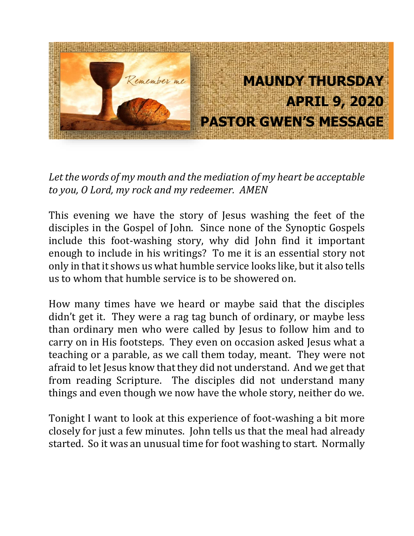

*Let the words of my mouth and the mediation of my heart be acceptable to you, O Lord, my rock and my redeemer. AMEN* 

This evening we have the story of Jesus washing the feet of the disciples in the Gospel of John. Since none of the Synoptic Gospels include this foot-washing story, why did John find it important enough to include in his writings? To me it is an essential story not only in that it shows us what humble service looks like, but it also tells us to whom that humble service is to be showered on.

How many times have we heard or maybe said that the disciples didn't get it. They were a rag tag bunch of ordinary, or maybe less than ordinary men who were called by Jesus to follow him and to carry on in His footsteps. They even on occasion asked Jesus what a teaching or a parable, as we call them today, meant. They were not afraid to let Jesus know that they did not understand. And we get that from reading Scripture. The disciples did not understand many things and even though we now have the whole story, neither do we.

Tonight I want to look at this experience of foot-washing a bit more closely for just a few minutes. John tells us that the meal had already started. So it was an unusual time for foot washing to start. Normally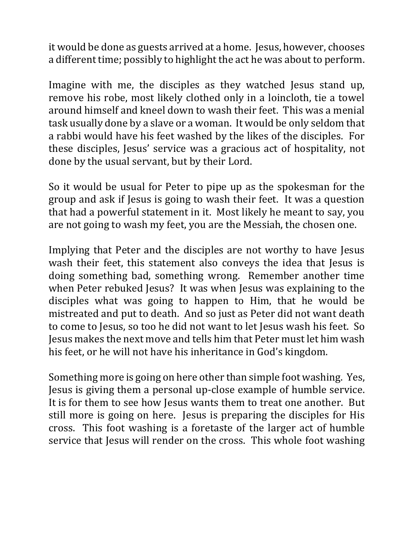it would be done as guests arrived at a home. Jesus, however, chooses a different time; possibly to highlight the act he was about to perform.

Imagine with me, the disciples as they watched Jesus stand up, remove his robe, most likely clothed only in a loincloth, tie a towel around himself and kneel down to wash their feet. This was a menial task usually done by a slave or a woman. It would be only seldom that a rabbi would have his feet washed by the likes of the disciples. For these disciples, Jesus' service was a gracious act of hospitality, not done by the usual servant, but by their Lord.

So it would be usual for Peter to pipe up as the spokesman for the group and ask if Jesus is going to wash their feet. It was a question that had a powerful statement in it. Most likely he meant to say, you are not going to wash my feet, you are the Messiah, the chosen one.

Implying that Peter and the disciples are not worthy to have Jesus wash their feet, this statement also conveys the idea that Jesus is doing something bad, something wrong. Remember another time when Peter rebuked Jesus? It was when Jesus was explaining to the disciples what was going to happen to Him, that he would be mistreated and put to death. And so just as Peter did not want death to come to Jesus, so too he did not want to let Jesus wash his feet. So Jesus makes the next move and tells him that Peter must let him wash his feet, or he will not have his inheritance in God's kingdom.

Something more is going on here other than simple foot washing. Yes, Jesus is giving them a personal up-close example of humble service. It is for them to see how Jesus wants them to treat one another. But still more is going on here. Jesus is preparing the disciples for His cross. This foot washing is a foretaste of the larger act of humble service that Jesus will render on the cross. This whole foot washing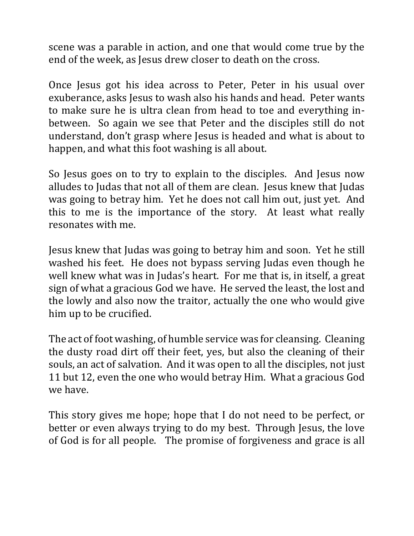scene was a parable in action, and one that would come true by the end of the week, as Jesus drew closer to death on the cross.

Once Jesus got his idea across to Peter, Peter in his usual over exuberance, asks Jesus to wash also his hands and head. Peter wants to make sure he is ultra clean from head to toe and everything inbetween. So again we see that Peter and the disciples still do not understand, don't grasp where Jesus is headed and what is about to happen, and what this foot washing is all about.

So Jesus goes on to try to explain to the disciples. And Jesus now alludes to Judas that not all of them are clean. Jesus knew that Judas was going to betray him. Yet he does not call him out, just yet. And this to me is the importance of the story. At least what really resonates with me.

Jesus knew that Judas was going to betray him and soon. Yet he still washed his feet. He does not bypass serving Judas even though he well knew what was in Judas's heart. For me that is, in itself, a great sign of what a gracious God we have. He served the least, the lost and the lowly and also now the traitor, actually the one who would give him up to be crucified.

The act of foot washing, of humble service was for cleansing. Cleaning the dusty road dirt off their feet, yes, but also the cleaning of their souls, an act of salvation. And it was open to all the disciples, not just 11 but 12, even the one who would betray Him. What a gracious God we have.

This story gives me hope; hope that I do not need to be perfect, or better or even always trying to do my best. Through Jesus, the love of God is for all people. The promise of forgiveness and grace is all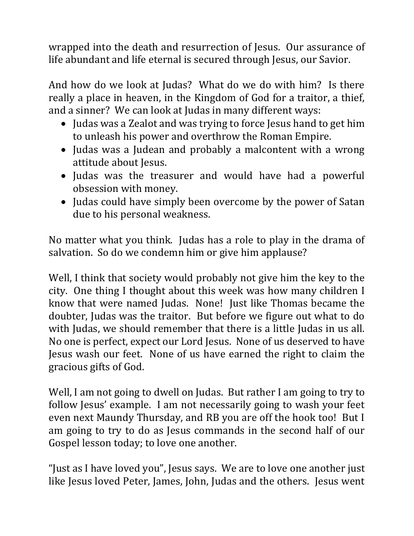wrapped into the death and resurrection of Jesus. Our assurance of life abundant and life eternal is secured through Jesus, our Savior.

And how do we look at Judas? What do we do with him? Is there really a place in heaven, in the Kingdom of God for a traitor, a thief, and a sinner? We can look at Judas in many different ways:

- Judas was a Zealot and was trying to force Jesus hand to get him to unleash his power and overthrow the Roman Empire.
- Judas was a Judean and probably a malcontent with a wrong attitude about Jesus.
- Judas was the treasurer and would have had a powerful obsession with money.
- Judas could have simply been overcome by the power of Satan due to his personal weakness.

No matter what you think. Judas has a role to play in the drama of salvation. So do we condemn him or give him applause?

Well, I think that society would probably not give him the key to the city. One thing I thought about this week was how many children I know that were named Judas. None! Just like Thomas became the doubter, Judas was the traitor. But before we figure out what to do with Judas, we should remember that there is a little Judas in us all. No one is perfect, expect our Lord Jesus. None of us deserved to have Jesus wash our feet. None of us have earned the right to claim the gracious gifts of God.

Well, I am not going to dwell on Judas. But rather I am going to try to follow Jesus' example. I am not necessarily going to wash your feet even next Maundy Thursday, and RB you are off the hook too! But I am going to try to do as Jesus commands in the second half of our Gospel lesson today; to love one another.

"Just as I have loved you", Jesus says. We are to love one another just like Jesus loved Peter, James, John, Judas and the others. Jesus went